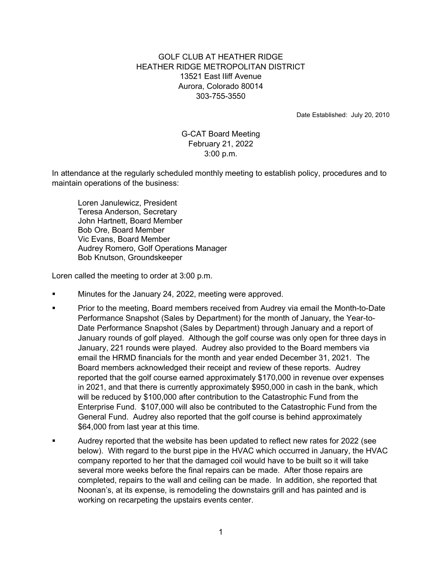## GOLF CLUB AT HEATHER RIDGE HEATHER RIDGE METROPOLITAN DISTRICT 13521 East Iliff Avenue Aurora, Colorado 80014 303-755-3550

Date Established: July 20, 2010

## G-CAT Board Meeting February 21, 2022 3:00 p.m.

In attendance at the regularly scheduled monthly meeting to establish policy, procedures and to maintain operations of the business:

 Loren Janulewicz, President Teresa Anderson, Secretary John Hartnett, Board Member Bob Ore, Board Member Vic Evans, Board Member Audrey Romero, Golf Operations Manager Bob Knutson, Groundskeeper

Loren called the meeting to order at 3:00 p.m.

- Minutes for the January 24, 2022, meeting were approved.
- Prior to the meeting, Board members received from Audrey via email the Month-to-Date Performance Snapshot (Sales by Department) for the month of January, the Year-to-Date Performance Snapshot (Sales by Department) through January and a report of January rounds of golf played. Although the golf course was only open for three days in January, 221 rounds were played. Audrey also provided to the Board members via email the HRMD financials for the month and year ended December 31, 2021. The Board members acknowledged their receipt and review of these reports. Audrey reported that the golf course earned approximately \$170,000 in revenue over expenses in 2021, and that there is currently approximately \$950,000 in cash in the bank, which will be reduced by \$100,000 after contribution to the Catastrophic Fund from the Enterprise Fund. \$107,000 will also be contributed to the Catastrophic Fund from the General Fund. Audrey also reported that the golf course is behind approximately \$64,000 from last year at this time.
- Audrey reported that the website has been updated to reflect new rates for 2022 (see below). With regard to the burst pipe in the HVAC which occurred in January, the HVAC company reported to her that the damaged coil would have to be built so it will take several more weeks before the final repairs can be made. After those repairs are completed, repairs to the wall and ceiling can be made. In addition, she reported that Noonan's, at its expense, is remodeling the downstairs grill and has painted and is working on recarpeting the upstairs events center.